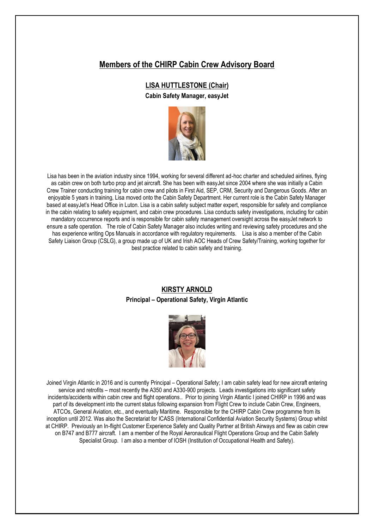# **Members of the CHIRP Cabin Crew Advisory Board**

## **LISA HUTTLESTONE (Chair)**

**Cabin Safety Manager, easyJet**



Lisa has been in the aviation industry since 1994, working for several different ad-hoc charter and scheduled airlines, flying as cabin crew on both turbo prop and jet aircraft. She has been with easyJet since 2004 where she was initially a Cabin Crew Trainer conducting training for cabin crew and pilots in First Aid, SEP, CRM, Security and Dangerous Goods. After an enjoyable 5 years in training, Lisa moved onto the Cabin Safety Department. Her current role is the Cabin Safety Manager based at easyJet's Head Office in Luton. Lisa is a cabin safety subject matter expert, responsible for safety and compliance in the cabin relating to safety equipment, and cabin crew procedures. Lisa conducts safety investigations, including for cabin mandatory occurrence reports and is responsible for cabin safety management oversight across the easyJet network to ensure a safe operation. The role of Cabin Safety Manager also includes writing and reviewing safety procedures and she has experience writing Ops Manuals in accordance with regulatory requirements. Lisa is also a member of the Cabin Safety Liaison Group (CSLG), a group made up of UK and Irish AOC Heads of Crew Safety/Training, working together for best practice related to cabin safety and training.

## **KIRSTY ARNOLD Principal – Operational Safety, Virgin Atlantic**



Joined Virgin Atlantic in 2016 and is currently Principal – Operational Safety; I am cabin safety lead for new aircraft entering service and retrofits – most recently the A350 and A330-900 projects. Leads investigations into significant safety incidents/accidents within cabin crew and flight operations.. Prior to joining Virgin Atlantic I joined CHIRP in 1996 and was part of its development into the current status following expansion from Flight Crew to include Cabin Crew, Engineers, ATCOs, General Aviation, etc., and eventually Maritime. Responsible for the CHIRP Cabin Crew programme from its inception until 2012. Was also the Secretariat for ICASS (International Confidential Aviation Security Systems) Group whilst at CHIRP. Previously an In-flight Customer Experience Safety and Quality Partner at British Airways and flew as cabin crew on B747 and B777 aircraft. I am a member of the Royal Aeronautical Flight Operations Group and the Cabin Safety Specialist Group. I am also a member of IOSH (Institution of Occupational Health and Safety).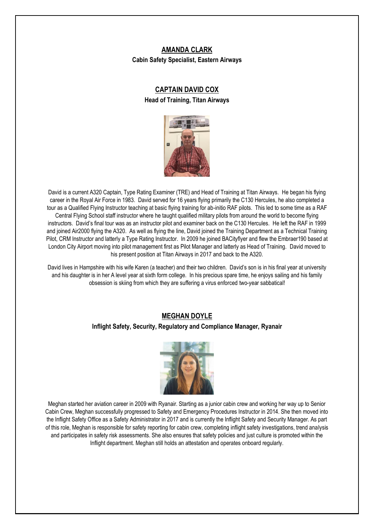## **AMANDA CLARK Cabin Safety Specialist, Eastern Airways**

# **CAPTAIN DAVID COX Head of Training, Titan Airways**



David is a current A320 Captain, Type Rating Examiner (TRE) and Head of Training at Titan Airways. He began his flying career in the Royal Air Force in 1983. David served for 16 years flying primarily the C130 Hercules, he also completed a tour as a Qualified Flying Instructor teaching at basic flying training for ab-initio RAF pilots. This led to some time as a RAF Central Flying School staff instructor where he taught qualified military pilots from around the world to become flying instructors. David's final tour was as an instructor pilot and examiner back on the C130 Hercules. He left the RAF in 1999 and joined Air2000 flying the A320. As well as flying the line, David joined the Training Department as a Technical Training Pilot, CRM Instructor and latterly a Type Rating Instructor. In 2009 he joined BACityflyer and flew the Embraer190 based at London City Airport moving into pilot management first as Pilot Manager and latterly as Head of Training. David moved to his present position at Titan Airways in 2017 and back to the A320.

David lives in Hampshire with his wife Karen (a teacher) and their two children. David's son is in his final year at university and his daughter is in her A level year at sixth form college. In his precious spare time, he enjoys sailing and his family obsession is skiing from which they are suffering a virus enforced two-year sabbatical!

# **MEGHAN DOYLE**

## **Inflight Safety, Security, Regulatory and Compliance Manager, Ryanair**



Meghan started her aviation career in 2009 with Ryanair. Starting as a junior cabin crew and working her way up to Senior Cabin Crew, Meghan successfully progressed to Safety and Emergency Procedures Instructor in 2014. She then moved into the Inflight Safety Office as a Safety Administrator in 2017 and is currently the Inflight Safety and Security Manager. As part of this role, Meghan is responsible for safety reporting for cabin crew, completing inflight safety investigations, trend analysis and participates in safety risk assessments. She also ensures that safety policies and just culture is promoted within the Inflight department. Meghan still holds an attestation and operates onboard regularly.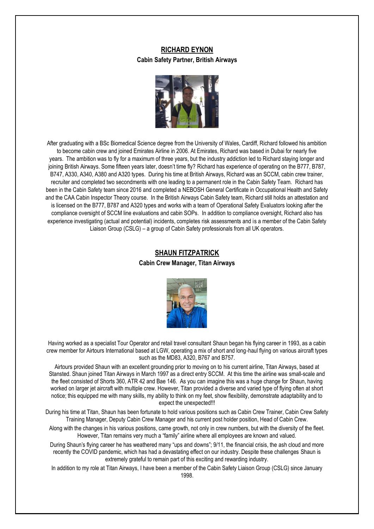## **RICHARD EYNON Cabin Safety Partner, British Airways**



After graduating with a BSc Biomedical Science degree from the University of Wales, Cardiff, Richard followed his ambition to become cabin crew and joined Emirates Airline in 2006. At Emirates, Richard was based in Dubai for nearly five years. The ambition was to fly for a maximum of three years, but the industry addiction led to Richard staying longer and joining British Airways. Some fifteen years later, doesn't time fly? Richard has experience of operating on the B777, B787, B747, A330, A340, A380 and A320 types. During his time at British Airways, Richard was an SCCM, cabin crew trainer, recruiter and completed two secondments with one leading to a permanent role in the Cabin Safety Team. Richard has been in the Cabin Safety team since 2016 and completed a NEBOSH General Certificate in Occupational Health and Safety and the CAA Cabin Inspector Theory course. In the British Airways Cabin Safety team, Richard still holds an attestation and is licensed on the B777, B787 and A320 types and works with a team of Operational Safety Evaluators looking after the compliance oversight of SCCM line evaluations and cabin SOPs. In addition to compliance oversight, Richard also has experience investigating (actual and potential) incidents, completes risk assessments and is a member of the Cabin Safety Liaison Group (CSLG) – a group of Cabin Safety professionals from all UK operators.

## **SHAUN FITZPATRICK**

**Cabin Crew Manager, Titan Airways**



Having worked as a specialist Tour Operator and retail travel consultant Shaun began his flying career in 1993, as a cabin crew member for Airtours International based at LGW, operating a mix of short and long-haul flying on various aircraft types such as the MD83, A320, B767 and B757.

Airtours provided Shaun with an excellent grounding prior to moving on to his current airline, Titan Airways, based at Stansted. Shaun joined Titan Airways in March 1997 as a direct entry SCCM. At this time the airline was small-scale and the fleet consisted of Shorts 360, ATR 42 and Bae 146. As you can imagine this was a huge change for Shaun, having worked on larger jet aircraft with multiple crew. However, Titan provided a diverse and varied type of flying often at short notice; this equipped me with many skills, my ability to think on my feet, show flexibility, demonstrate adaptability and to expect the unexpected!!!

During his time at Titan, Shaun has been fortunate to hold various positions such as Cabin Crew Trainer, Cabin Crew Safety Training Manager, Deputy Cabin Crew Manager and his current post holder position, Head of Cabin Crew.

Along with the changes in his various positions, came growth, not only in crew numbers, but with the diversity of the fleet. However, Titan remains very much a "family" airline where all employees are known and valued.

During Shaun's flying career he has weathered many "ups and downs"; 9/11, the financial crisis, the ash cloud and more recently the COVID pandemic, which has had a devastating effect on our industry. Despite these challenges Shaun is extremely grateful to remain part of this exciting and rewarding industry.

In addition to my role at Titan Airways, I have been a member of the Cabin Safety Liaison Group (CSLG) since January 1998.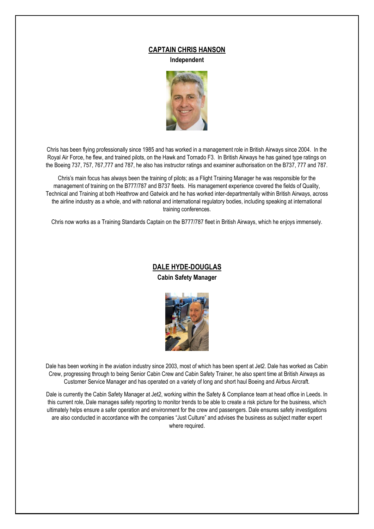### **CAPTAIN CHRIS HANSON**

**Independent**



Chris has been flying professionally since 1985 and has worked in a management role in British Airways since 2004. In the Royal Air Force, he flew, and trained pilots, on the Hawk and Tornado F3. In British Airways he has gained type ratings on the Boeing 737, 757, 767,777 and 787, he also has instructor ratings and examiner authorisation on the B737, 777 and 787.

Chris's main focus has always been the training of pilots; as a Flight Training Manager he was responsible for the management of training on the B777/787 and B737 fleets. His management experience covered the fields of Quality, Technical and Training at both Heathrow and Gatwick and he has worked inter-departmentally within British Airways, across the airline industry as a whole, and with national and international regulatory bodies, including speaking at international training conferences.

Chris now works as a Training Standards Captain on the B777/787 fleet in British Airways, which he enjoys immensely.

# **DALE HYDE-DOUGLAS**

**Cabin Safety Manager**



Dale has been working in the aviation industry since 2003, most of which has been spent at Jet2. Dale has worked as Cabin Crew, progressing through to being Senior Cabin Crew and Cabin Safety Trainer, he also spent time at British Airways as Customer Service Manager and has operated on a variety of long and short haul Boeing and Airbus Aircraft.

Dale is currently the Cabin Safety Manager at Jet2, working within the Safety & Compliance team at head office in Leeds. In this current role, Dale manages safety reporting to monitor trends to be able to create a risk picture for the business, which ultimately helps ensure a safer operation and environment for the crew and passengers. Dale ensures safety investigations are also conducted in accordance with the companies "Just Culture" and advises the business as subject matter expert where required.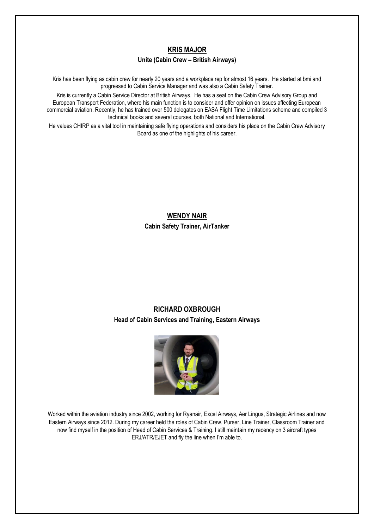### **KRIS MAJOR**

#### **Unite (Cabin Crew – British Airways)**

Kris has been flying as cabin crew for nearly 20 years and a workplace rep for almost 16 years. He started at bmi and progressed to Cabin Service Manager and was also a Cabin Safety Trainer.

Kris is currently a Cabin Service Director at British Airways. He has a seat on the Cabin Crew Advisory Group and European Transport Federation, where his main function is to consider and offer opinion on issues affecting European commercial aviation. Recently, he has trained over 500 delegates on EASA Flight Time Limitations scheme and compiled 3 technical books and several courses, both National and International.

He values CHIRP as a vital tool in maintaining safe flying operations and considers his place on the Cabin Crew Advisory Board as one of the highlights of his career.

> **WENDY NAIR Cabin Safety Trainer, AirTanker**

# **RICHARD OXBROUGH Head of Cabin Services and Training, Eastern Airways**



Worked within the aviation industry since 2002, working for Ryanair, Excel Airways, Aer Lingus, Strategic Airlines and now Eastern Airways since 2012. During my career held the roles of Cabin Crew, Purser, Line Trainer, Classroom Trainer and now find myself in the position of Head of Cabin Services & Training. I still maintain my recency on 3 aircraft types ERJ/ATR/EJET and fly the line when I'm able to.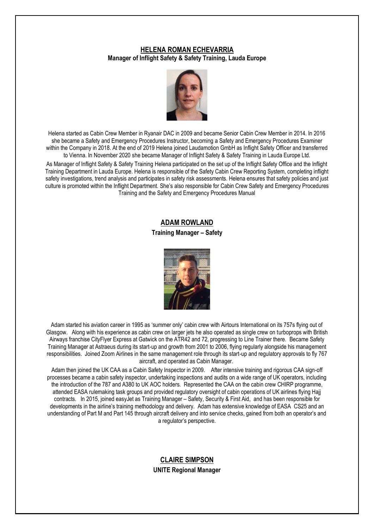## **HELENA ROMAN ECHEVARRIA Manager of Inflight Safety & Safety Training, Lauda Europe**



Helena started as Cabin Crew Member in Ryanair DAC in 2009 and became Senior Cabin Crew Member in 2014. In 2016 she became a Safety and Emergency Procedures Instructor, becoming a Safety and Emergency Procedures Examiner within the Company in 2018. At the end of 2019 Helena joined Laudamotion GmbH as Inflight Safety Officer and transferred to Vienna. In November 2020 she became Manager of Inflight Safety & Safety Training in Lauda Europe Ltd.

As Manager of Inflight Safety & Safety Training Helena participated on the set up of the Inflight Safety Office and the Inflight Training Department in Lauda Europe. Helena is responsible of the Safety Cabin Crew Reporting System, completing inflight safety investigations, trend analysis and participates in safety risk assessments. Helena ensures that safety policies and just culture is promoted within the Inflight Department. She's also responsible for Cabin Crew Safety and Emergency Procedures Training and the Safety and Emergency Procedures Manual

### **ADAM ROWLAND**

### **Training Manager – Safety**



Adam started his aviation career in 1995 as 'summer only' cabin crew with Airtours International on its 757s flying out of Glasgow. Along with his experience as cabin crew on larger jets he also operated as single crew on turboprops with British Airways franchise CityFlyer Express at Gatwick on the ATR42 and 72, progressing to Line Trainer there. Became Safety Training Manager at Astraeus during its start-up and growth from 2001 to 2006, flying regularly alongside his management responsibilities. Joined Zoom Airlines in the same management role through its start-up and regulatory approvals to fly 767 aircraft, and operated as Cabin Manager.

Adam then joined the UK CAA as a Cabin Safety Inspector in 2009. After intensive training and rigorous CAA sign-off processes became a cabin safety inspector, undertaking inspections and audits on a wide range of UK operators, including the introduction of the 787 and A380 to UK AOC holders. Represented the CAA on the cabin crew CHIRP programme, attended EASA rulemaking task groups and provided regulatory oversight of cabin operations of UK airlines flying Hajj contracts. In 2015, joined easyJet as Training Manager – Safety, Security & First Aid, and has been responsible for developments in the airline's training methodology and delivery. Adam has extensive knowledge of EASA CS25 and an understanding of Part M and Part 145 through aircraft delivery and into service checks, gained from both an operator's and a regulator's perspective.

# **CLAIRE SIMPSON UNITE Regional Manager**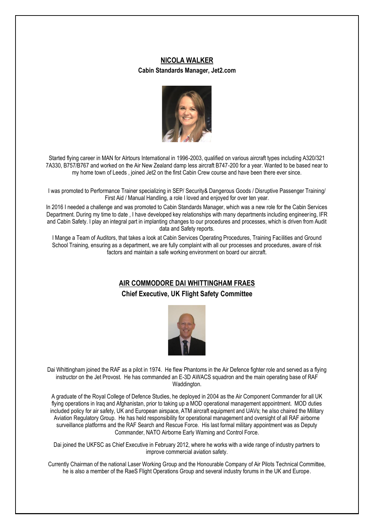### **NICOLA WALKER**

#### **Cabin Standards Manager, Jet2.com**



Started flying career in MAN for AIrtours International in 1996-2003, qualified on various aircraft types including A320/321 7A330, B757/B767 and worked on the Air New Zealand damp less aircraft B747-200 for a year. Wanted to be based near to my home town of Leeds , joined Jet2 on the first Cabin Crew course and have been there ever since.

I was promoted to Performance Trainer specializing in SEP/ Security& Dangerous Goods / Disruptive Passenger Training/ First Aid / Manual Handling, a role I loved and enjoyed for over ten year.

In 2016 I needed a challenge and was promoted to Cabin Standards Manager, which was a new role for the Cabin Services Department. During my time to date , I have developed key relationships with many departments including engineering, IFR and Cabin Safety. I play an integral part in implanting changes to our procedures and processes, which is driven from Audit data and Safety reports.

I Mange a Team of Auditors, that takes a look at Cabin Services Operating Procedures, Training Facilities and Ground School Training, ensuring as a department, we are fully complaint with all our processes and procedures, aware of risk factors and maintain a safe working environment on board our aircraft.

## **AIR COMMODORE DAI WHITTINGHAM FRAES**

### **Chief Executive, UK Flight Safety Committee**



Dai Whittingham joined the RAF as a pilot in 1974. He flew Phantoms in the Air Defence fighter role and served as a flying instructor on the Jet Provost. He has commanded an E-3D AWACS squadron and the main operating base of RAF Waddington.

A graduate of the Royal College of Defence Studies, he deployed in 2004 as the Air Component Commander for all UK flying operations in Iraq and Afghanistan, prior to taking up a MOD operational management appointment. MOD duties included policy for air safety, UK and European airspace, ATM aircraft equipment and UAVs; he also chaired the Military Aviation Regulatory Group. He has held responsibility for operational management and oversight of all RAF airborne surveillance platforms and the RAF Search and Rescue Force. His last formal military appointment was as Deputy Commander, NATO Airborne Early Warning and Control Force.

Dai joined the UKFSC as Chief Executive in February 2012, where he works with a wide range of industry partners to improve commercial aviation safety.

Currently Chairman of the national Laser Working Group and the Honourable Company of Air Pilots Technical Committee, he is also a member of the RaeS Flight Operations Group and several industry forums in the UK and Europe.